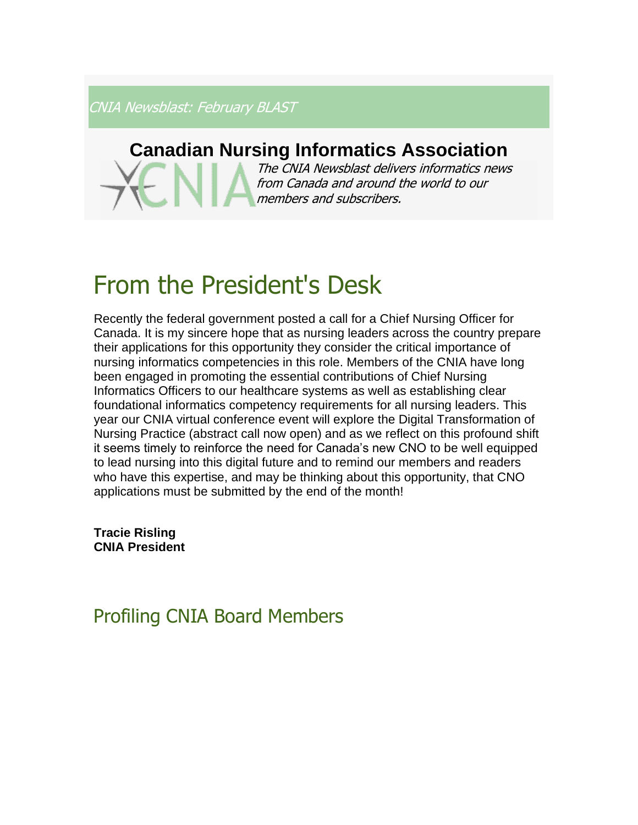CNIA Newsblast: February BLAST

### **Canadian Nursing Informatics Association**

The CNIA Newsblast delivers informatics news from Canada and around the world to our members and subscribers.

# From the President's Desk

Recently the federal government posted a call for a Chief Nursing Officer for Canada. It is my sincere hope that as nursing leaders across the country prepare their applications for this opportunity they consider the critical importance of nursing informatics competencies in this role. Members of the CNIA have long been engaged in promoting the essential contributions of Chief Nursing Informatics Officers to our healthcare systems as well as establishing clear foundational informatics competency requirements for all nursing leaders. This year our CNIA virtual conference event will explore the Digital Transformation of Nursing Practice (abstract call now open) and as we reflect on this profound shift it seems timely to reinforce the need for Canada's new CNO to be well equipped to lead nursing into this digital future and to remind our members and readers who have this expertise, and may be thinking about this opportunity, that CNO applications must be submitted by the end of the month!

**Tracie Risling CNIA President**

### Profiling CNIA Board Members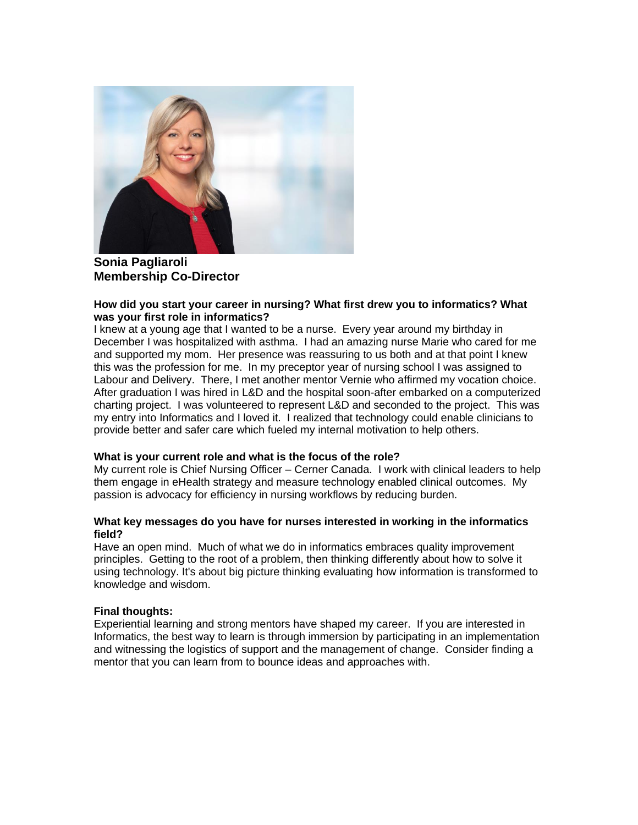

**Sonia Pagliaroli Membership Co-Director**

#### **How did you start your career in nursing? What first drew you to informatics? What was your first role in informatics?**

I knew at a young age that I wanted to be a nurse. Every year around my birthday in December I was hospitalized with asthma. I had an amazing nurse Marie who cared for me and supported my mom. Her presence was reassuring to us both and at that point I knew this was the profession for me. In my preceptor year of nursing school I was assigned to Labour and Delivery. There, I met another mentor Vernie who affirmed my vocation choice. After graduation I was hired in L&D and the hospital soon-after embarked on a computerized charting project. I was volunteered to represent L&D and seconded to the project. This was my entry into Informatics and I loved it. I realized that technology could enable clinicians to provide better and safer care which fueled my internal motivation to help others.

#### **What is your current role and what is the focus of the role?**

My current role is Chief Nursing Officer – Cerner Canada. I work with clinical leaders to help them engage in eHealth strategy and measure technology enabled clinical outcomes. My passion is advocacy for efficiency in nursing workflows by reducing burden.

#### **What key messages do you have for nurses interested in working in the informatics field?**

Have an open mind. Much of what we do in informatics embraces quality improvement principles. Getting to the root of a problem, then thinking differently about how to solve it using technology. It's about big picture thinking evaluating how information is transformed to knowledge and wisdom.

#### **Final thoughts:**

Experiential learning and strong mentors have shaped my career. If you are interested in Informatics, the best way to learn is through immersion by participating in an implementation and witnessing the logistics of support and the management of change. Consider finding a mentor that you can learn from to bounce ideas and approaches with.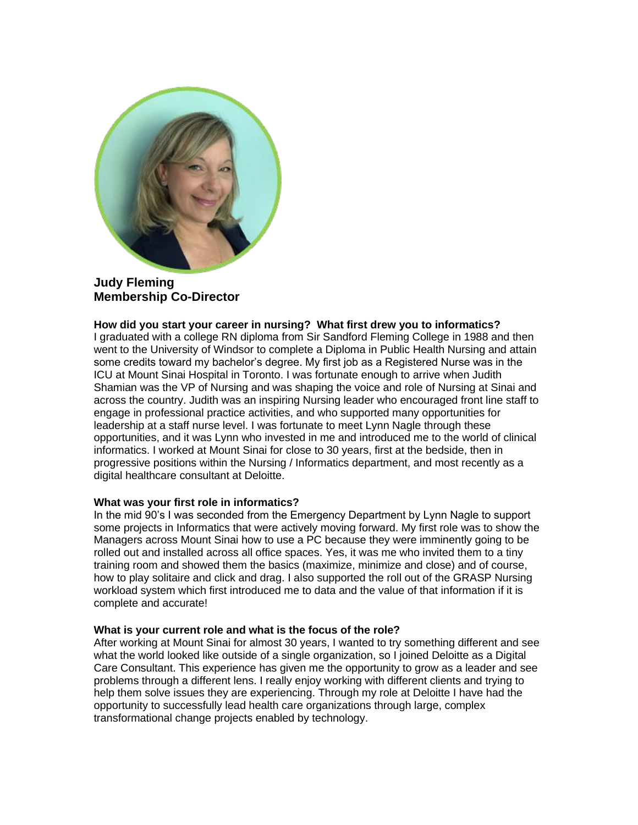

**Judy Fleming Membership Co-Director**

#### **How did you start your career in nursing? What first drew you to informatics?**

I graduated with a college RN diploma from Sir Sandford Fleming College in 1988 and then went to the University of Windsor to complete a Diploma in Public Health Nursing and attain some credits toward my bachelor's degree. My first job as a Registered Nurse was in the ICU at Mount Sinai Hospital in Toronto. I was fortunate enough to arrive when Judith Shamian was the VP of Nursing and was shaping the voice and role of Nursing at Sinai and across the country. Judith was an inspiring Nursing leader who encouraged front line staff to engage in professional practice activities, and who supported many opportunities for leadership at a staff nurse level. I was fortunate to meet Lynn Nagle through these opportunities, and it was Lynn who invested in me and introduced me to the world of clinical informatics. I worked at Mount Sinai for close to 30 years, first at the bedside, then in progressive positions within the Nursing / Informatics department, and most recently as a digital healthcare consultant at Deloitte.

#### **What was your first role in informatics?**

In the mid 90's I was seconded from the Emergency Department by Lynn Nagle to support some projects in Informatics that were actively moving forward. My first role was to show the Managers across Mount Sinai how to use a PC because they were imminently going to be rolled out and installed across all office spaces. Yes, it was me who invited them to a tiny training room and showed them the basics (maximize, minimize and close) and of course, how to play solitaire and click and drag. I also supported the roll out of the GRASP Nursing workload system which first introduced me to data and the value of that information if it is complete and accurate!

#### **What is your current role and what is the focus of the role?**

After working at Mount Sinai for almost 30 years, I wanted to try something different and see what the world looked like outside of a single organization, so I joined Deloitte as a Digital Care Consultant. This experience has given me the opportunity to grow as a leader and see problems through a different lens. I really enjoy working with different clients and trying to help them solve issues they are experiencing. Through my role at Deloitte I have had the opportunity to successfully lead health care organizations through large, complex transformational change projects enabled by technology.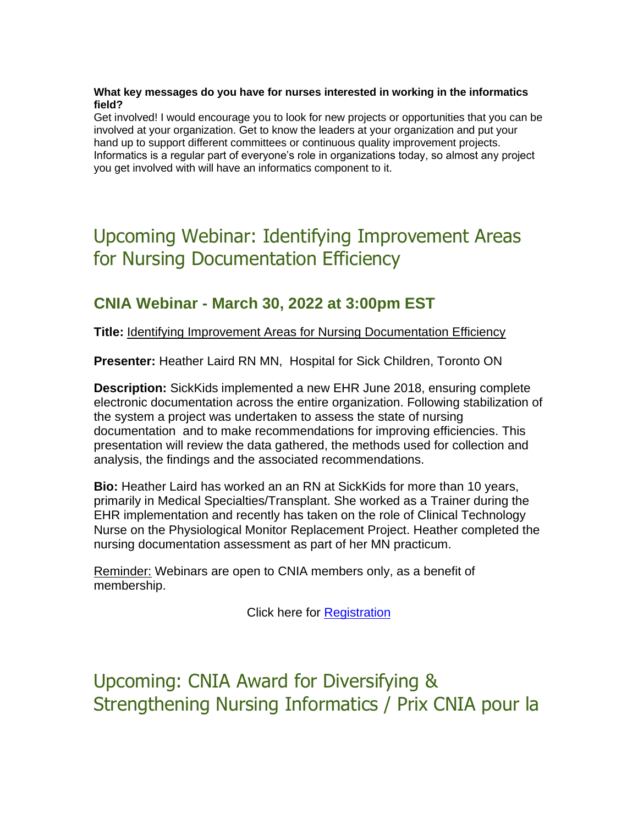#### **What key messages do you have for nurses interested in working in the informatics field?**

Get involved! I would encourage you to look for new projects or opportunities that you can be involved at your organization. Get to know the leaders at your organization and put your hand up to support different committees or continuous quality improvement projects. Informatics is a regular part of everyone's role in organizations today, so almost any project you get involved with will have an informatics component to it.

# Upcoming Webinar: Identifying Improvement Areas for Nursing Documentation Efficiency

### **CNIA Webinar - March 30, 2022 at 3:00pm EST**

**Title:** Identifying Improvement Areas for Nursing Documentation Efficiency

**Presenter:** Heather Laird RN MN, Hospital for Sick Children, Toronto ON

**Description:** SickKids implemented a new EHR June 2018, ensuring complete electronic documentation across the entire organization. Following stabilization of the system a project was undertaken to assess the state of nursing documentation and to make recommendations for improving efficiencies. This presentation will review the data gathered, the methods used for collection and analysis, the findings and the associated recommendations.

**Bio:** Heather Laird has worked an an RN at SickKids for more than 10 years, primarily in Medical Specialties/Transplant. She worked as a Trainer during the EHR implementation and recently has taken on the role of Clinical Technology Nurse on the Physiological Monitor Replacement Project. Heather completed the nursing documentation assessment as part of her MN practicum.

Reminder: Webinars are open to CNIA members only, as a benefit of membership.

Click here for [Registration](https://cnia.ca/events)

Upcoming: CNIA Award for Diversifying & Strengthening Nursing Informatics / Prix CNIA pour la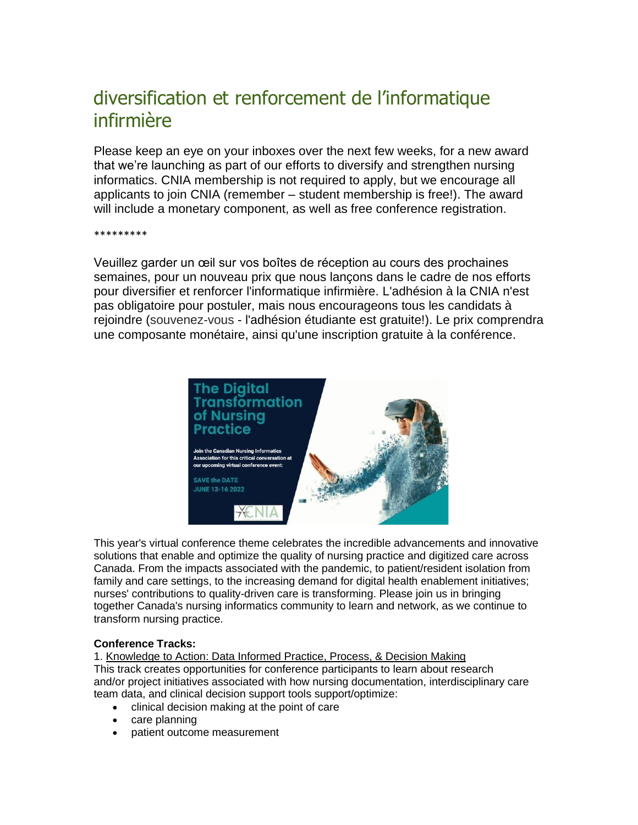# diversification et renforcement de l'informatique infirmière

Please keep an eye on your inboxes over the next few weeks, for a new award that we're launching as part of our efforts to diversify and strengthen nursing informatics. CNIA membership is not required to apply, but we encourage all applicants to join CNIA (remember – student membership is free!). The award will include a monetary component, as well as free conference registration.

\*\*\*\*\*\*\*\*\*

Veuillez garder un œil sur vos boîtes de réception au cours des prochaines semaines, pour un nouveau prix que nous lançons dans le cadre de nos efforts pour diversifier et renforcer l'informatique infirmière. L'adhésion à la CNIA n'est pas obligatoire pour postuler, mais nous encourageons tous les candidats à rejoindre (souvenez-vous - l'adhésion étudiante est gratuite!). Le prix comprendra une composante monétaire, ainsi qu'une inscription gratuite à la conférence.



This year's virtual conference theme celebrates the incredible advancements and innovative solutions that enable and optimize the quality of nursing practice and digitized care across Canada. From the impacts associated with the pandemic, to patient/resident isolation from family and care settings, to the increasing demand for digital health enablement initiatives; nurses' contributions to quality-driven care is transforming. Please join us in bringing together Canada's nursing informatics community to learn and network, as we continue to transform nursing practice.

#### **Conference Tracks:**

1. Knowledge to Action: Data Informed Practice, Process, & Decision Making This track creates opportunities for conference participants to learn about research and/or project initiatives associated with how nursing documentation, interdisciplinary care team data, and clinical decision support tools support/optimize:

- clinical decision making at the point of care
- care planning
- patient outcome measurement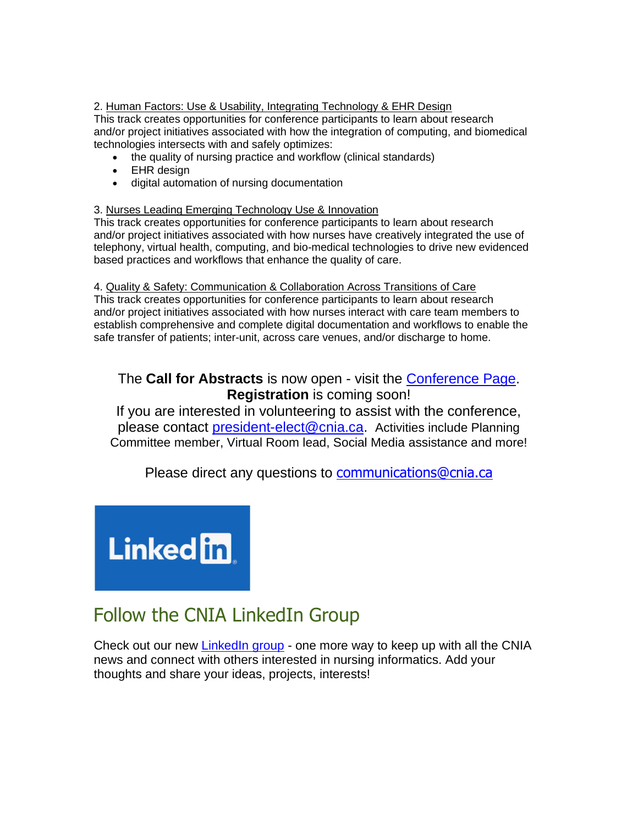#### 2. Human Factors: Use & Usability, Integrating Technology & EHR Design

This track creates opportunities for conference participants to learn about research and/or project initiatives associated with how the integration of computing, and biomedical technologies intersects with and safely optimizes:

- the quality of nursing practice and workflow (clinical standards)
- EHR design
- digital automation of nursing documentation

#### 3. Nurses Leading Emerging Technology Use & Innovation

This track creates opportunities for conference participants to learn about research and/or project initiatives associated with how nurses have creatively integrated the use of telephony, virtual health, computing, and bio-medical technologies to drive new evidenced based practices and workflows that enhance the quality of care.

#### 4. Quality & Safety: Communication & Collaboration Across Transitions of Care

This track creates opportunities for conference participants to learn about research and/or project initiatives associated with how nurses interact with care team members to establish comprehensive and complete digital documentation and workflows to enable the safe transfer of patients; inter-unit, across care venues, and/or discharge to home.

### The **Call for Abstracts** is now open - visit the [Conference Page.](https://cnia.ca/EmailTracker/LinkTracker.ashx?linkAndRecipientCode=3Hryz30hR%2bmTifWLt%2fW9jsdmbffMKTU71WmxzL5YQFRQzA3r4vCcgvIhy7NiN6qe%2fSRsYU%2byfExZprr4eYi%2fQfcvcpaR%2fn0lkH%2ffoujGHEY%3d) **Registration** is coming soon!

If you are interested in volunteering to assist with the conference, please contact [president-elect@cnia.ca](mailto:president-elect@cnia.ca). Activities include Planning Committee member, Virtual Room lead, Social Media assistance and more!

Please direct any questions to **[communications@cnia.ca](mailto:communications@cnia.ca)** 



## Follow the CNIA LinkedIn Group

Check out our new [LinkedIn group](https://www.linkedin.com/groups/12594102/) - one more way to keep up with all the CNIA news and connect with others interested in nursing informatics. Add your thoughts and share your ideas, projects, interests!